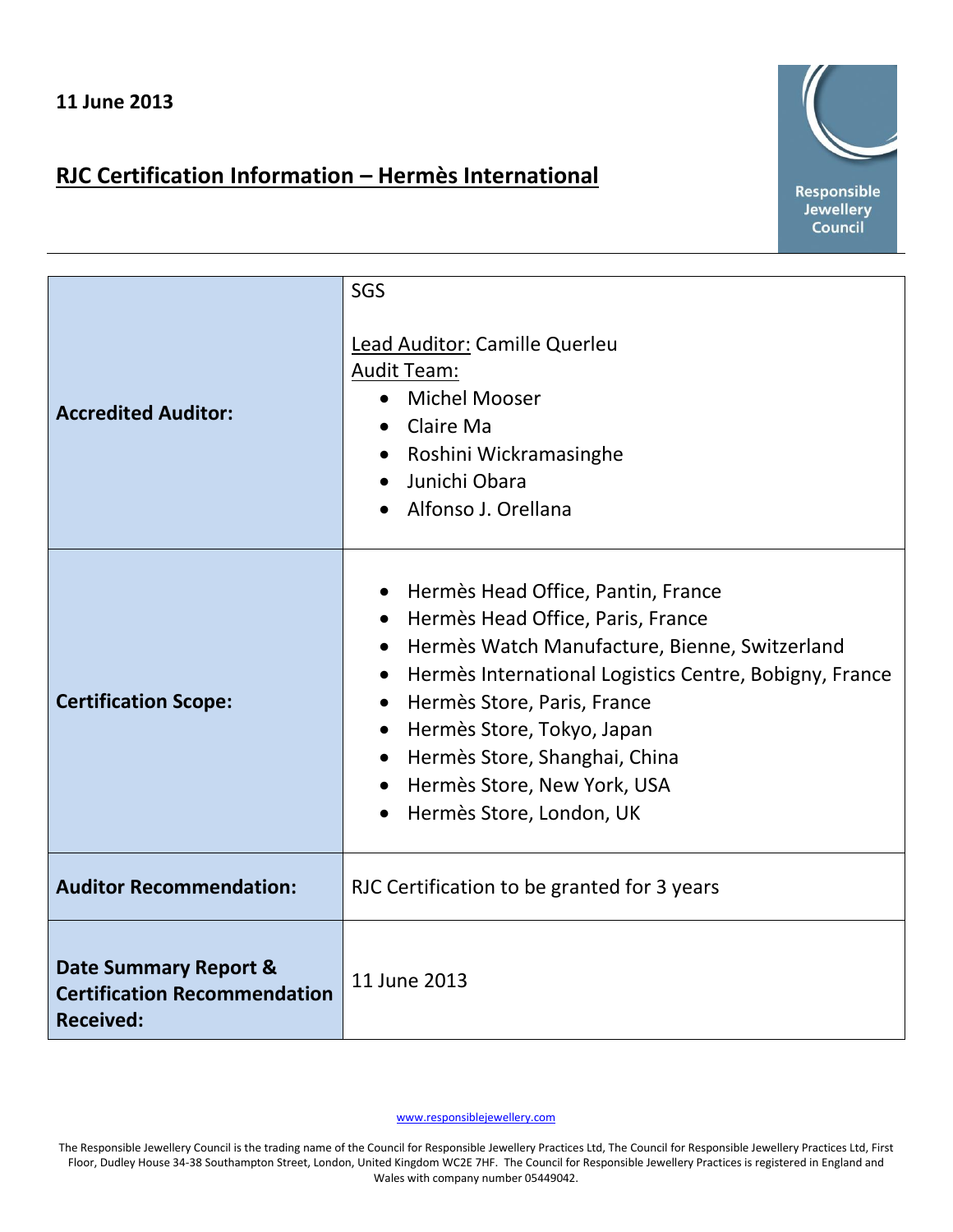## **RJC Certification Information – Hermès International**



| <b>Accredited Auditor:</b>                                                       | SGS<br><b>Lead Auditor: Camille Querleu</b><br><b>Audit Team:</b><br>• Michel Mooser<br>Claire Ma<br>Roshini Wickramasinghe<br>Junichi Obara<br>Alfonso J. Orellana                                                                                                                                                                                          |
|----------------------------------------------------------------------------------|--------------------------------------------------------------------------------------------------------------------------------------------------------------------------------------------------------------------------------------------------------------------------------------------------------------------------------------------------------------|
| <b>Certification Scope:</b>                                                      | Hermès Head Office, Pantin, France<br>Hermès Head Office, Paris, France<br>Hermès Watch Manufacture, Bienne, Switzerland<br>$\bullet$<br>Hermès International Logistics Centre, Bobigny, France<br>Hermès Store, Paris, France<br>• Hermès Store, Tokyo, Japan<br>• Hermès Store, Shanghai, China<br>Hermès Store, New York, USA<br>Hermès Store, London, UK |
| <b>Auditor Recommendation:</b>                                                   | RJC Certification to be granted for 3 years                                                                                                                                                                                                                                                                                                                  |
| Date Summary Report &<br><b>Certification Recommendation</b><br><b>Received:</b> | 11 June 2013                                                                                                                                                                                                                                                                                                                                                 |

www.responsiblejewellery.com

The Responsible Jewellery Council is the trading name of the Council for Responsible Jewellery Practices Ltd, The Council for Responsible Jewellery Practices Ltd, First Floor, Dudley House 34-38 Southampton Street, London, United Kingdom WC2E 7HF. The Council for Responsible Jewellery Practices is registered in England and Wales with company number 05449042.